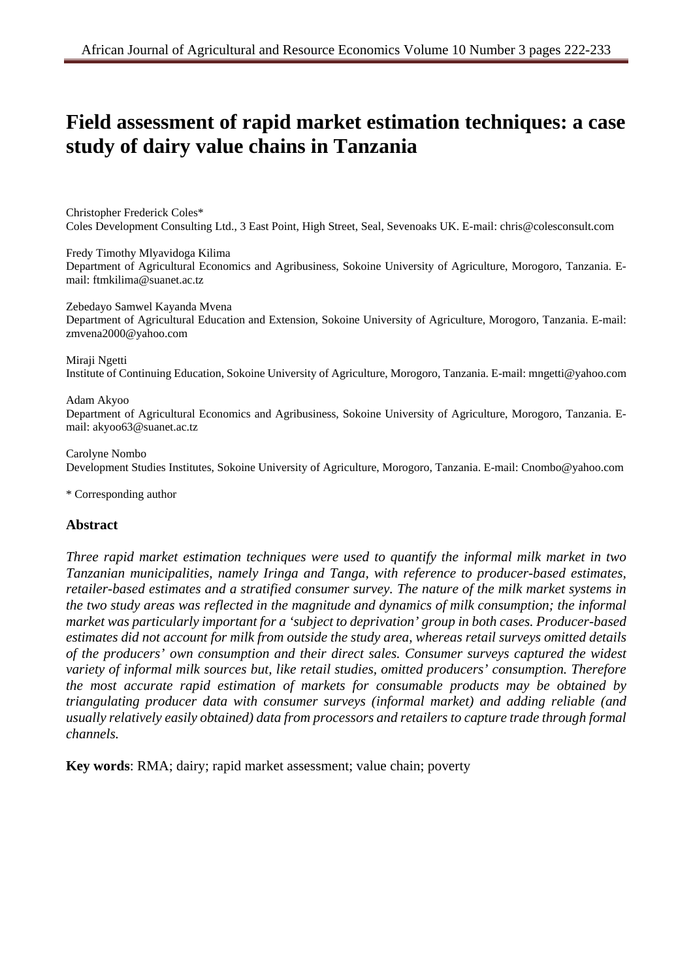# **Field assessment of rapid market estimation techniques: a case study of dairy value chains in Tanzania**

Christopher Frederick Coles\* Coles Development Consulting Ltd., 3 East Point, High Street, Seal, Sevenoaks UK. E-mail: chris@colesconsult.com

Fredy Timothy Mlyavidoga Kilima Department of Agricultural Economics and Agribusiness, Sokoine University of Agriculture, Morogoro, Tanzania. Email: ftmkilima@suanet.ac.tz

Zebedayo Samwel Kayanda Mvena Department of Agricultural Education and Extension, Sokoine University of Agriculture, Morogoro, Tanzania. E-mail: zmvena2000@yahoo.com

Miraji Ngetti Institute of Continuing Education, Sokoine University of Agriculture, Morogoro, Tanzania. E-mail: mngetti@yahoo.com

#### Adam Akyoo

Department of Agricultural Economics and Agribusiness, Sokoine University of Agriculture, Morogoro, Tanzania. Email: akyoo63@suanet.ac.tz

#### Carolyne Nombo

Development Studies Institutes, Sokoine University of Agriculture, Morogoro, Tanzania. E-mail: Cnombo@yahoo.com

\* Corresponding author

#### **Abstract**

*Three rapid market estimation techniques were used to quantify the informal milk market in two Tanzanian municipalities, namely Iringa and Tanga, with reference to producer-based estimates, retailer-based estimates and a stratified consumer survey. The nature of the milk market systems in the two study areas was reflected in the magnitude and dynamics of milk consumption; the informal market was particularly important for a 'subject to deprivation' group in both cases. Producer-based estimates did not account for milk from outside the study area, whereas retail surveys omitted details of the producers' own consumption and their direct sales. Consumer surveys captured the widest variety of informal milk sources but, like retail studies, omitted producers' consumption. Therefore the most accurate rapid estimation of markets for consumable products may be obtained by triangulating producer data with consumer surveys (informal market) and adding reliable (and usually relatively easily obtained) data from processors and retailers to capture trade through formal channels.* 

**Key words**: RMA; dairy; rapid market assessment; value chain; poverty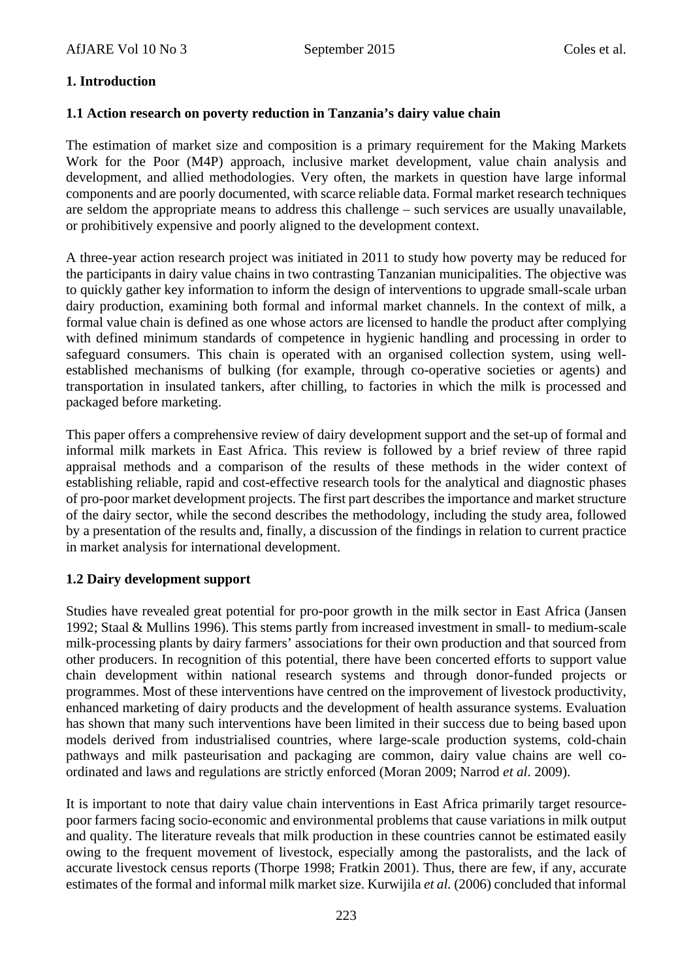# **1. Introduction**

### **1.1 Action research on poverty reduction in Tanzania's dairy value chain**

The estimation of market size and composition is a primary requirement for the Making Markets Work for the Poor (M4P) approach, inclusive market development, value chain analysis and development, and allied methodologies. Very often, the markets in question have large informal components and are poorly documented, with scarce reliable data. Formal market research techniques are seldom the appropriate means to address this challenge – such services are usually unavailable, or prohibitively expensive and poorly aligned to the development context.

A three-year action research project was initiated in 2011 to study how poverty may be reduced for the participants in dairy value chains in two contrasting Tanzanian municipalities. The objective was to quickly gather key information to inform the design of interventions to upgrade small-scale urban dairy production, examining both formal and informal market channels. In the context of milk, a formal value chain is defined as one whose actors are licensed to handle the product after complying with defined minimum standards of competence in hygienic handling and processing in order to safeguard consumers. This chain is operated with an organised collection system, using wellestablished mechanisms of bulking (for example, through co-operative societies or agents) and transportation in insulated tankers, after chilling, to factories in which the milk is processed and packaged before marketing.

This paper offers a comprehensive review of dairy development support and the set-up of formal and informal milk markets in East Africa. This review is followed by a brief review of three rapid appraisal methods and a comparison of the results of these methods in the wider context of establishing reliable, rapid and cost-effective research tools for the analytical and diagnostic phases of pro-poor market development projects. The first part describes the importance and market structure of the dairy sector, while the second describes the methodology, including the study area, followed by a presentation of the results and, finally, a discussion of the findings in relation to current practice in market analysis for international development.

#### **1.2 Dairy development support**

Studies have revealed great potential for pro-poor growth in the milk sector in East Africa (Jansen 1992; Staal & Mullins 1996). This stems partly from increased investment in small- to medium-scale milk-processing plants by dairy farmers' associations for their own production and that sourced from other producers. In recognition of this potential, there have been concerted efforts to support value chain development within national research systems and through donor-funded projects or programmes. Most of these interventions have centred on the improvement of livestock productivity, enhanced marketing of dairy products and the development of health assurance systems. Evaluation has shown that many such interventions have been limited in their success due to being based upon models derived from industrialised countries, where large-scale production systems, cold-chain pathways and milk pasteurisation and packaging are common, dairy value chains are well coordinated and laws and regulations are strictly enforced (Moran 2009; Narrod *et al*. 2009).

It is important to note that dairy value chain interventions in East Africa primarily target resourcepoor farmers facing socio-economic and environmental problems that cause variations in milk output and quality. The literature reveals that milk production in these countries cannot be estimated easily owing to the frequent movement of livestock, especially among the pastoralists, and the lack of accurate livestock census reports (Thorpe 1998; Fratkin 2001). Thus, there are few, if any, accurate estimates of the formal and informal milk market size. Kurwijila *et al.* (2006) concluded that informal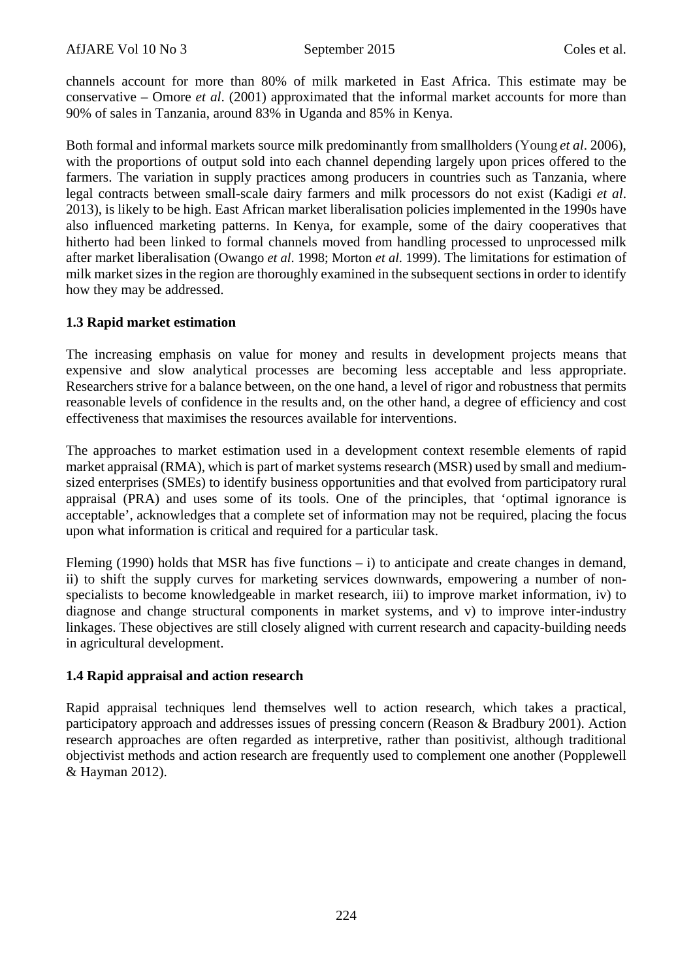channels account for more than 80% of milk marketed in East Africa. This estimate may be conservative – Omore *et al*. (2001) approximated that the informal market accounts for more than 90% of sales in Tanzania, around 83% in Uganda and 85% in Kenya.

Both formal and informal markets source milk predominantly from smallholders (Young *et al*. 2006), with the proportions of output sold into each channel depending largely upon prices offered to the farmers. The variation in supply practices among producers in countries such as Tanzania, where legal contracts between small-scale dairy farmers and milk processors do not exist (Kadigi *et al*. 2013), is likely to be high. East African market liberalisation policies implemented in the 1990s have also influenced marketing patterns. In Kenya, for example, some of the dairy cooperatives that hitherto had been linked to formal channels moved from handling processed to unprocessed milk after market liberalisation (Owango *et al*. 1998; Morton *et al*. 1999). The limitations for estimation of milk market sizes in the region are thoroughly examined in the subsequent sections in order to identify how they may be addressed.

# **1.3 Rapid market estimation**

The increasing emphasis on value for money and results in development projects means that expensive and slow analytical processes are becoming less acceptable and less appropriate. Researchers strive for a balance between, on the one hand, a level of rigor and robustness that permits reasonable levels of confidence in the results and, on the other hand, a degree of efficiency and cost effectiveness that maximises the resources available for interventions.

The approaches to market estimation used in a development context resemble elements of rapid market appraisal (RMA), which is part of market systems research (MSR) used by small and mediumsized enterprises (SMEs) to identify business opportunities and that evolved from participatory rural appraisal (PRA) and uses some of its tools. One of the principles, that 'optimal ignorance is acceptable', acknowledges that a complete set of information may not be required, placing the focus upon what information is critical and required for a particular task.

Fleming (1990) holds that MSR has five functions  $- i$ ) to anticipate and create changes in demand, ii) to shift the supply curves for marketing services downwards, empowering a number of nonspecialists to become knowledgeable in market research, iii) to improve market information, iv) to diagnose and change structural components in market systems, and v) to improve inter-industry linkages. These objectives are still closely aligned with current research and capacity-building needs in agricultural development.

# **1.4 Rapid appraisal and action research**

Rapid appraisal techniques lend themselves well to action research, which takes a practical, participatory approach and addresses issues of pressing concern (Reason & Bradbury 2001). Action research approaches are often regarded as interpretive, rather than positivist, although traditional objectivist methods and action research are frequently used to complement one another (Popplewell & Hayman 2012).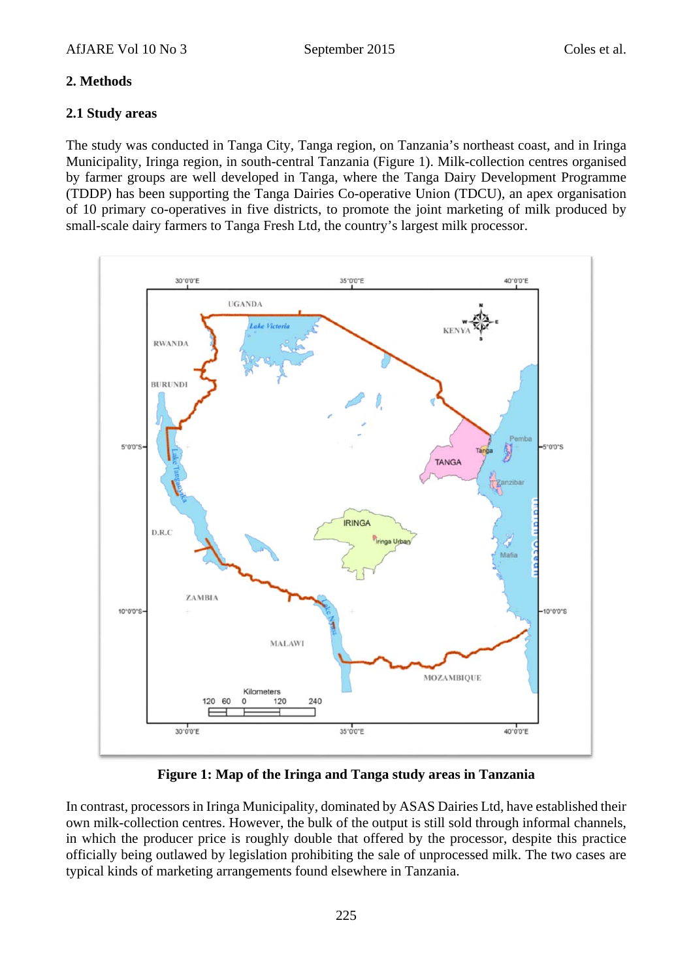# **2. Methods**

### **2.1 Study areas**

The study was conducted in Tanga City, Tanga region, on Tanzania's northeast coast, and in Iringa Municipality, Iringa region, in south-central Tanzania (Figure 1). Milk-collection centres organised by farmer groups are well developed in Tanga, where the Tanga Dairy Development Programme (TDDP) has been supporting the Tanga Dairies Co-operative Union (TDCU), an apex organisation of 10 primary co-operatives in five districts, to promote the joint marketing of milk produced by small-scale dairy farmers to Tanga Fresh Ltd, the country's largest milk processor.



**Figure 1: Map of the Iringa and Tanga study areas in Tanzania** 

In contrast, processors in Iringa Municipality, dominated by ASAS Dairies Ltd, have established their own milk-collection centres. However, the bulk of the output is still sold through informal channels, in which the producer price is roughly double that offered by the processor, despite this practice officially being outlawed by legislation prohibiting the sale of unprocessed milk. The two cases are typical kinds of marketing arrangements found elsewhere in Tanzania.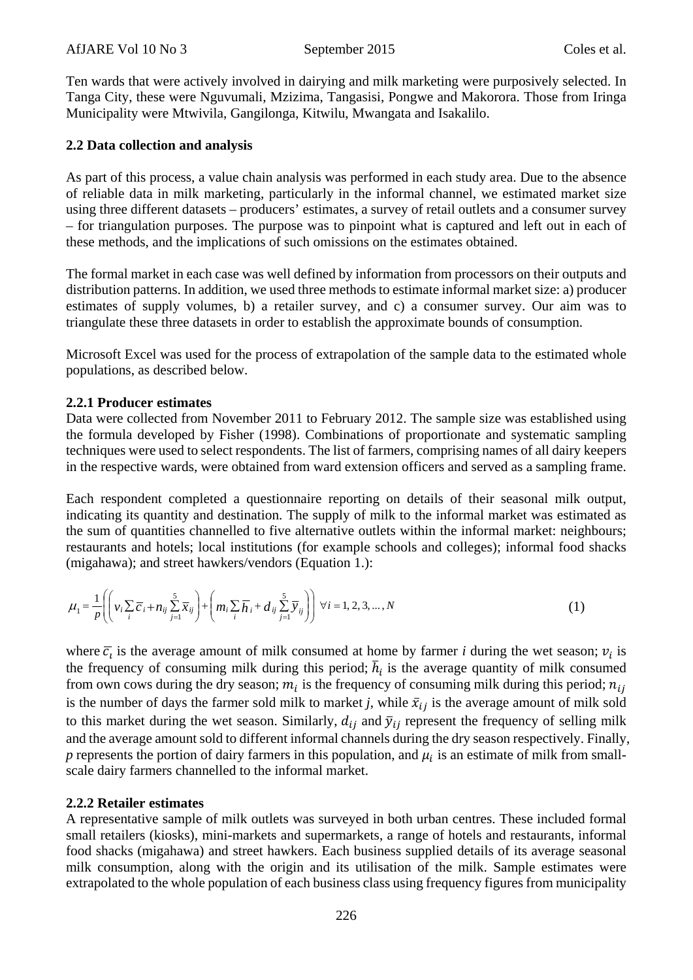Ten wards that were actively involved in dairying and milk marketing were purposively selected. In Tanga City, these were Nguvumali, Mzizima, Tangasisi, Pongwe and Makorora. Those from Iringa Municipality were Mtwivila, Gangilonga, Kitwilu, Mwangata and Isakalilo.

# **2.2 Data collection and analysis**

As part of this process, a value chain analysis was performed in each study area. Due to the absence of reliable data in milk marketing, particularly in the informal channel, we estimated market size using three different datasets – producers' estimates, a survey of retail outlets and a consumer survey – for triangulation purposes. The purpose was to pinpoint what is captured and left out in each of these methods, and the implications of such omissions on the estimates obtained.

The formal market in each case was well defined by information from processors on their outputs and distribution patterns. In addition, we used three methods to estimate informal market size: a) producer estimates of supply volumes, b) a retailer survey, and c) a consumer survey. Our aim was to triangulate these three datasets in order to establish the approximate bounds of consumption.

Microsoft Excel was used for the process of extrapolation of the sample data to the estimated whole populations, as described below.

# **2.2.1 Producer estimates**

Data were collected from November 2011 to February 2012. The sample size was established using the formula developed by Fisher (1998). Combinations of proportionate and systematic sampling techniques were used to select respondents. The list of farmers, comprising names of all dairy keepers in the respective wards, were obtained from ward extension officers and served as a sampling frame.

Each respondent completed a questionnaire reporting on details of their seasonal milk output, indicating its quantity and destination. The supply of milk to the informal market was estimated as the sum of quantities channelled to five alternative outlets within the informal market: neighbours; restaurants and hotels; local institutions (for example schools and colleges); informal food shacks (migahawa); and street hawkers/vendors (Equation 1.):

$$
\mu_1 = \frac{1}{p} \left( \left( v_i \sum_i \overline{c}_i + n_{ij} \sum_{j=1}^5 \overline{x}_{ij} \right) + \left( m_i \sum_i \overline{h}_i + d_{ij} \sum_{j=1}^5 \overline{y}_{ij} \right) \right) \forall i = 1, 2, 3, ..., N
$$
\n(1)

where  $\overline{c}_i$  is the average amount of milk consumed at home by farmer *i* during the wet season;  $v_i$  is the frequency of consuming milk during this period;  $\bar{h}_i$  is the average quantity of milk consumed from own cows during the dry season;  $m_i$  is the frequency of consuming milk during this period;  $n_{ij}$ is the number of days the farmer sold milk to market *j*, while  $\bar{x}_{ij}$  is the average amount of milk sold to this market during the wet season. Similarly,  $d_{ij}$  and  $\bar{y}_{ij}$  represent the frequency of selling milk and the average amount sold to different informal channels during the dry season respectively. Finally, *p* represents the portion of dairy farmers in this population, and  $\mu_i$  is an estimate of milk from smallscale dairy farmers channelled to the informal market.

# **2.2.2 Retailer estimates**

A representative sample of milk outlets was surveyed in both urban centres. These included formal small retailers (kiosks), mini-markets and supermarkets, a range of hotels and restaurants, informal food shacks (migahawa) and street hawkers. Each business supplied details of its average seasonal milk consumption, along with the origin and its utilisation of the milk. Sample estimates were extrapolated to the whole population of each business class using frequency figures from municipality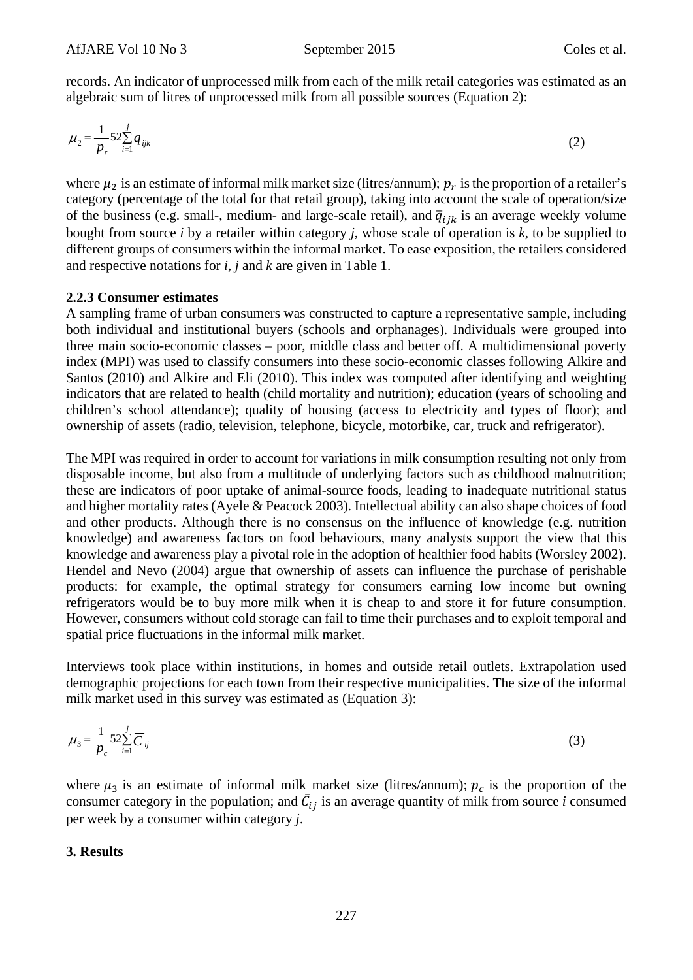records. An indicator of unprocessed milk from each of the milk retail categories was estimated as an algebraic sum of litres of unprocessed milk from all possible sources (Equation 2):

$$
\mu_2 = \frac{1}{p_r} 52 \sum_{i=1}^{j} \overline{q}_{ijk} \tag{2}
$$

where  $\mu_2$  is an estimate of informal milk market size (litres/annum);  $p_r$  is the proportion of a retailer's category (percentage of the total for that retail group), taking into account the scale of operation/size of the business (e.g. small-, medium- and large-scale retail), and  $\bar{q}_{ijk}$  is an average weekly volume bought from source *i* by a retailer within category *j*, whose scale of operation is *k*, to be supplied to different groups of consumers within the informal market. To ease exposition, the retailers considered and respective notations for *i*, *j* and *k* are given in Table 1.

#### **2.2.3 Consumer estimates**

A sampling frame of urban consumers was constructed to capture a representative sample, including both individual and institutional buyers (schools and orphanages). Individuals were grouped into three main socio-economic classes – poor, middle class and better off. A multidimensional poverty index (MPI) was used to classify consumers into these socio-economic classes following Alkire and Santos (2010) and Alkire and Eli (2010). This index was computed after identifying and weighting indicators that are related to health (child mortality and nutrition); education (years of schooling and children's school attendance); quality of housing (access to electricity and types of floor); and ownership of assets (radio, television, telephone, bicycle, motorbike, car, truck and refrigerator).

The MPI was required in order to account for variations in milk consumption resulting not only from disposable income, but also from a multitude of underlying factors such as childhood malnutrition; these are indicators of poor uptake of animal-source foods, leading to inadequate nutritional status and higher mortality rates (Ayele & Peacock 2003). Intellectual ability can also shape choices of food and other products. Although there is no consensus on the influence of knowledge (e.g. nutrition knowledge) and awareness factors on food behaviours, many analysts support the view that this knowledge and awareness play a pivotal role in the adoption of healthier food habits (Worsley 2002). Hendel and Nevo (2004) argue that ownership of assets can influence the purchase of perishable products: for example, the optimal strategy for consumers earning low income but owning refrigerators would be to buy more milk when it is cheap to and store it for future consumption. However, consumers without cold storage can fail to time their purchases and to exploit temporal and spatial price fluctuations in the informal milk market.

Interviews took place within institutions, in homes and outside retail outlets. Extrapolation used demographic projections for each town from their respective municipalities. The size of the informal milk market used in this survey was estimated as (Equation 3):

$$
\mu_3 = \frac{1}{p_c} 52 \sum_{i=1}^{j} \overline{C}_{ij} \tag{3}
$$

where  $\mu_3$  is an estimate of informal milk market size (litres/annum);  $p_c$  is the proportion of the consumer category in the population; and  $\bar{C}_{ij}$  is an average quantity of milk from source *i* consumed per week by a consumer within category *j*.

#### **3. Results**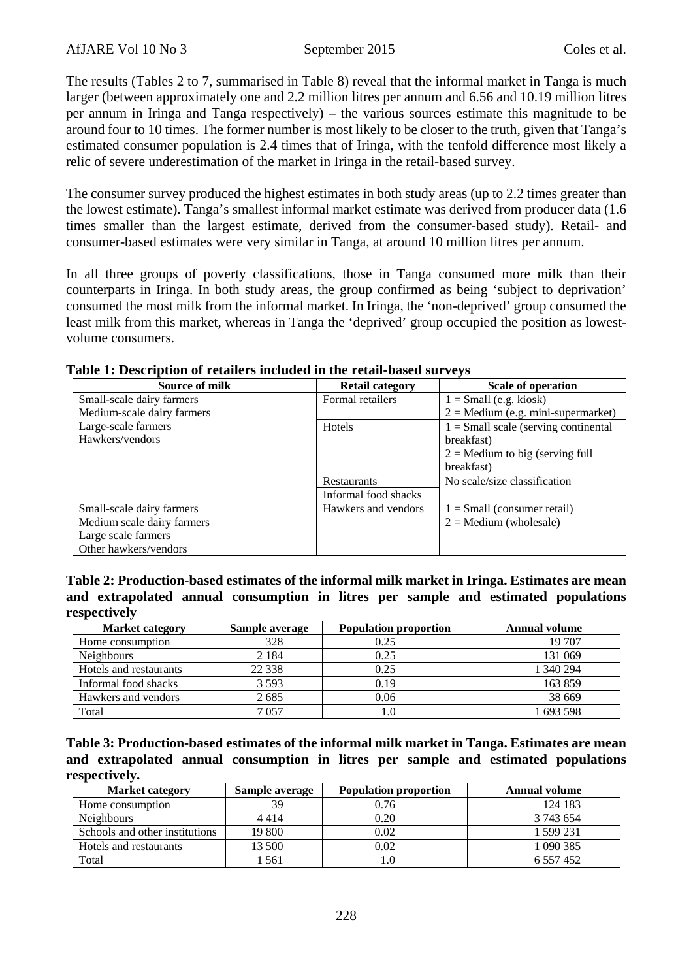The results (Tables 2 to 7, summarised in Table 8) reveal that the informal market in Tanga is much larger (between approximately one and 2.2 million litres per annum and 6.56 and 10.19 million litres per annum in Iringa and Tanga respectively) – the various sources estimate this magnitude to be around four to 10 times. The former number is most likely to be closer to the truth, given that Tanga's estimated consumer population is 2.4 times that of Iringa, with the tenfold difference most likely a relic of severe underestimation of the market in Iringa in the retail-based survey.

The consumer survey produced the highest estimates in both study areas (up to 2.2 times greater than the lowest estimate). Tanga's smallest informal market estimate was derived from producer data (1.6 times smaller than the largest estimate, derived from the consumer-based study). Retail- and consumer-based estimates were very similar in Tanga, at around 10 million litres per annum.

In all three groups of poverty classifications, those in Tanga consumed more milk than their counterparts in Iringa. In both study areas, the group confirmed as being 'subject to deprivation' consumed the most milk from the informal market. In Iringa, the 'non-deprived' group consumed the least milk from this market, whereas in Tanga the 'deprived' group occupied the position as lowestvolume consumers.

| Source of milk             | <b>Retail category</b> | <b>Scale of operation</b>              |
|----------------------------|------------------------|----------------------------------------|
| Small-scale dairy farmers  | Formal retailers       | $1 = Small$ (e.g. kiosk)               |
| Medium-scale dairy farmers |                        | $2 =$ Medium (e.g. mini-supermarket)   |
| Large-scale farmers        | Hotels                 | $1 =$ Small scale (serving continental |
| Hawkers/vendors            |                        | breakfast)                             |
|                            |                        | $2$ = Medium to big (serving full      |
|                            |                        | breakfast)                             |
|                            | <b>Restaurants</b>     | No scale/size classification           |
|                            | Informal food shacks   |                                        |
| Small-scale dairy farmers  | Hawkers and vendors    | $1 = Small (consumer retail)$          |
| Medium scale dairy farmers |                        | $2 =$ Medium (wholesale)               |
| Large scale farmers        |                        |                                        |
| Other hawkers/vendors      |                        |                                        |

|  |  |  |  | Table 1: Description of retailers included in the retail-based surveys |
|--|--|--|--|------------------------------------------------------------------------|
|--|--|--|--|------------------------------------------------------------------------|

**Table 2: Production-based estimates of the informal milk market in Iringa. Estimates are mean and extrapolated annual consumption in litres per sample and estimated populations respectively** 

| <b>Market category</b> | Sample average | <b>Population proportion</b> | <b>Annual volume</b> |
|------------------------|----------------|------------------------------|----------------------|
| Home consumption       | 328            | 0.25                         | 19 707               |
| Neighbours             | 2 1 8 4        | 0.25                         | 131 069              |
| Hotels and restaurants | 22 3 38        | 0.25                         | 1 340 294            |
| Informal food shacks   | 3 5 9 3        | 0.19                         | 163859               |
| Hawkers and vendors    | 2685           | 0.06                         | 38 669               |
| Total                  | 7057           |                              | 1 693 598            |

**Table 3: Production-based estimates of the informal milk market in Tanga. Estimates are mean and extrapolated annual consumption in litres per sample and estimated populations respectively.** 

| <b>Market category</b>         | Sample average | <b>Population proportion</b> | <b>Annual volume</b> |
|--------------------------------|----------------|------------------------------|----------------------|
| Home consumption               | 39             | 0.76                         | 124 183              |
| <b>Neighbours</b>              | 4414           | 0.20                         | 3 743 654            |
| Schools and other institutions | 19 800         | 0.02                         | 1 599 231            |
| Hotels and restaurants         | 13 500         | 0.02                         | 1 090 385            |
| Total                          | 561            |                              | 6 5 5 7 4 5 2        |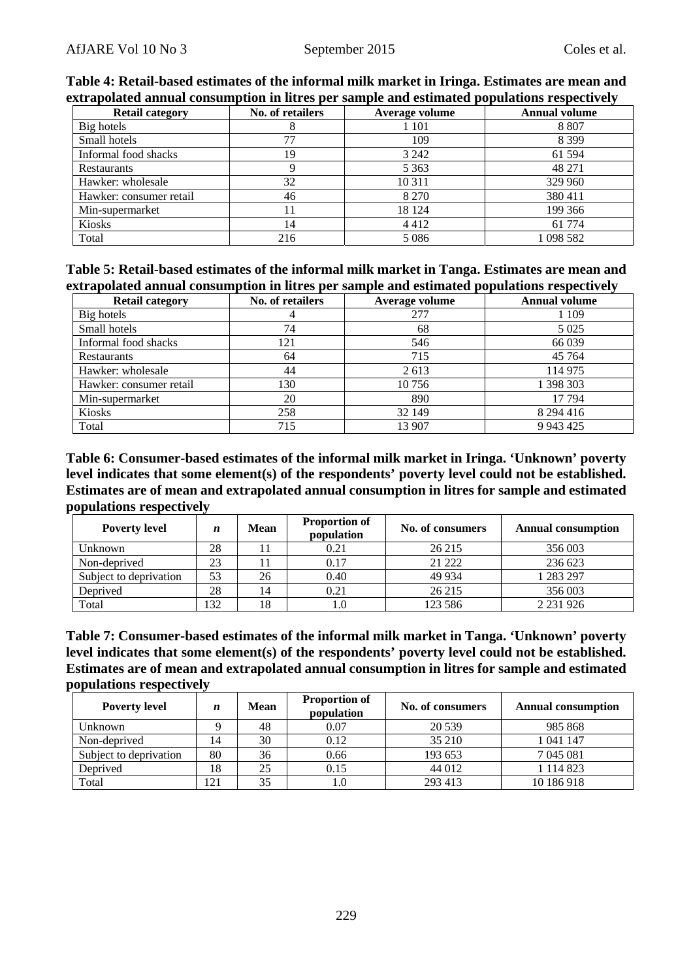| $\alpha$ ti apolateu alihual consumption ni nu es per sample anu estimateu populations respectively |                  |                |                      |  |  |  |
|-----------------------------------------------------------------------------------------------------|------------------|----------------|----------------------|--|--|--|
| <b>Retail category</b>                                                                              | No. of retailers | Average volume | <b>Annual volume</b> |  |  |  |
| Big hotels                                                                                          |                  | 1 101          | 8 8 0 7              |  |  |  |
| Small hotels                                                                                        |                  | 109            | 8 3 9 9              |  |  |  |
| Informal food shacks                                                                                | 19               | 3 2 4 2        | 61 594               |  |  |  |
| Restaurants                                                                                         |                  | 5 3 6 3        | 48 271               |  |  |  |
| Hawker: wholesale                                                                                   | 32               | 10 3 11        | 329 960              |  |  |  |
| Hawker: consumer retail                                                                             | 46               | 8 2 7 0        | 380411               |  |  |  |
| Min-supermarket                                                                                     |                  | 18 124         | 199 366              |  |  |  |
| <b>Kiosks</b>                                                                                       | 14               | 4412           | 61 774               |  |  |  |
| Total                                                                                               | 216              | 5 0 8 6        | 1 098 582            |  |  |  |

**Table 4: Retail-based estimates of the informal milk market in Iringa. Estimates are mean and extrapolated annual consumption in litres per sample and estimated populations respectively** 

| Table 5: Retail-based estimates of the informal milk market in Tanga. Estimates are mean and |  |  |
|----------------------------------------------------------------------------------------------|--|--|
| extrapolated annual consumption in litres per sample and estimated populations respectively  |  |  |

| <b>Retail category</b>  | No. of retailers | Average volume | <b>Annual volume</b> |
|-------------------------|------------------|----------------|----------------------|
| Big hotels              |                  | 277            | 1 1 0 9              |
| Small hotels            | 74               | 68             | 5 0 2 5              |
| Informal food shacks    | 121              | 546            | 66 039               |
| Restaurants             | 64               | 715            | 45 7 64              |
| Hawker: wholesale       | 44               | 2 6 1 3        | 114 975              |
| Hawker: consumer retail | 130              | 10 756         | 1 398 303            |
| Min-supermarket         | 20               | 890            | 17794                |
| Kiosks                  | 258              | 32 149         | 8 294 416            |
| Total                   | 715              | 13 907         | 9 9 4 3 4 2 5        |

**Table 6: Consumer-based estimates of the informal milk market in Iringa. 'Unknown' poverty level indicates that some element(s) of the respondents' poverty level could not be established. Estimates are of mean and extrapolated annual consumption in litres for sample and estimated populations respectively** 

| <b>Poverty level</b>   | n   | <b>Mean</b> | <b>Proportion of</b><br>population | No. of consumers | <b>Annual consumption</b> |
|------------------------|-----|-------------|------------------------------------|------------------|---------------------------|
| Unknown                | 28  |             | 0.21                               | 26 215           | 356 003                   |
| Non-deprived           | 23  |             | 0.17                               | 21 222           | 236 623                   |
| Subject to deprivation | 53  | 26          | 0.40                               | 49 9 34          | 1 283 297                 |
| Deprived               | 28  | 14          | 0.21                               | 26 215           | 356 003                   |
| Total                  | 132 | 18          | 1.0                                | 123 586          | 2 2 3 1 9 2 6             |

**Table 7: Consumer-based estimates of the informal milk market in Tanga. 'Unknown' poverty level indicates that some element(s) of the respondents' poverty level could not be established. Estimates are of mean and extrapolated annual consumption in litres for sample and estimated populations respectively** 

| <b>Poverty level</b>   | $\boldsymbol{n}$ | <b>Mean</b> | <b>Proportion of</b><br>population | No. of consumers | <b>Annual consumption</b> |
|------------------------|------------------|-------------|------------------------------------|------------------|---------------------------|
| Unknown                |                  | 48          | 0.07                               | 20 539           | 985 868                   |
| Non-deprived           | 14               | 30          | 0.12                               | 35 210           | 1 041 147                 |
| Subject to deprivation | 80               | 36          | 0.66                               | 193 653          | 7 045 081                 |
| Deprived               | 18               | 25          | 0.15                               | 44 012           | 1 1 1 4 8 2 3             |
| Total                  | 121              | 35          | 1.0                                | 293 413          | 10 186 918                |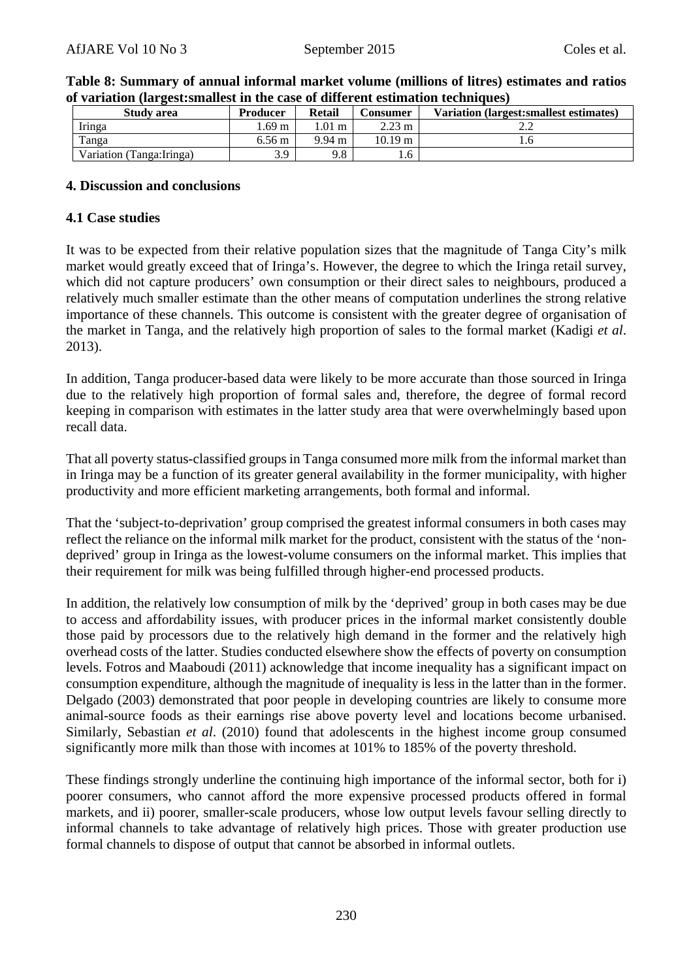| Study area                | <b>Producer</b>  | <b>Retail</b>    | Consumer          | Variation (largest: smallest estimates) |
|---------------------------|------------------|------------------|-------------------|-----------------------------------------|
| Iringa                    | .69 m            | $.01 \text{ m}$  | $2.23 \text{ m}$  |                                         |
| Tanga                     | $6.56 \text{ m}$ | $9.94 \text{ m}$ | $10.19 \text{ m}$ |                                         |
| Variation (Tanga: Iringa) | 3.9              | 9.8              | 6                 |                                         |

#### **Table 8: Summary of annual informal market volume (millions of litres) estimates and ratios of variation (largest:smallest in the case of different estimation techniques)**

#### **4. Discussion and conclusions**

#### **4.1 Case studies**

It was to be expected from their relative population sizes that the magnitude of Tanga City's milk market would greatly exceed that of Iringa's. However, the degree to which the Iringa retail survey, which did not capture producers' own consumption or their direct sales to neighbours, produced a relatively much smaller estimate than the other means of computation underlines the strong relative importance of these channels. This outcome is consistent with the greater degree of organisation of the market in Tanga, and the relatively high proportion of sales to the formal market (Kadigi *et al*. 2013).

In addition, Tanga producer-based data were likely to be more accurate than those sourced in Iringa due to the relatively high proportion of formal sales and, therefore, the degree of formal record keeping in comparison with estimates in the latter study area that were overwhelmingly based upon recall data.

That all poverty status-classified groups in Tanga consumed more milk from the informal market than in Iringa may be a function of its greater general availability in the former municipality, with higher productivity and more efficient marketing arrangements, both formal and informal.

That the 'subject-to-deprivation' group comprised the greatest informal consumers in both cases may reflect the reliance on the informal milk market for the product, consistent with the status of the 'nondeprived' group in Iringa as the lowest-volume consumers on the informal market. This implies that their requirement for milk was being fulfilled through higher-end processed products.

In addition, the relatively low consumption of milk by the 'deprived' group in both cases may be due to access and affordability issues, with producer prices in the informal market consistently double those paid by processors due to the relatively high demand in the former and the relatively high overhead costs of the latter. Studies conducted elsewhere show the effects of poverty on consumption levels. Fotros and Maaboudi (2011) acknowledge that income inequality has a significant impact on consumption expenditure, although the magnitude of inequality is less in the latter than in the former. Delgado (2003) demonstrated that poor people in developing countries are likely to consume more animal-source foods as their earnings rise above poverty level and locations become urbanised. Similarly, Sebastian *et al*. (2010) found that adolescents in the highest income group consumed significantly more milk than those with incomes at 101% to 185% of the poverty threshold.

These findings strongly underline the continuing high importance of the informal sector, both for i) poorer consumers, who cannot afford the more expensive processed products offered in formal markets, and ii) poorer, smaller-scale producers, whose low output levels favour selling directly to informal channels to take advantage of relatively high prices. Those with greater production use formal channels to dispose of output that cannot be absorbed in informal outlets.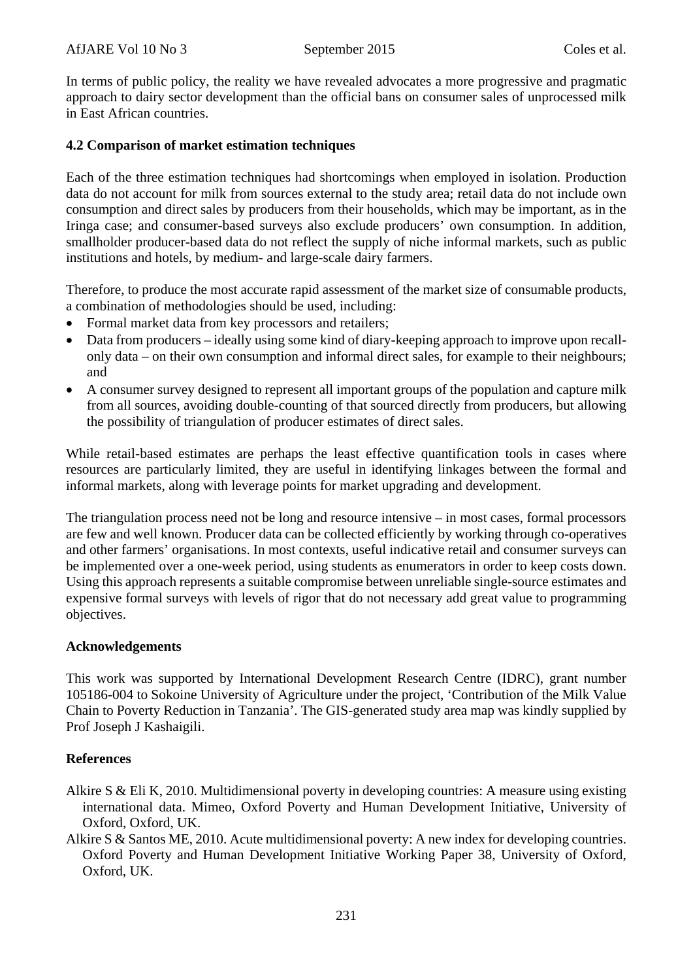In terms of public policy, the reality we have revealed advocates a more progressive and pragmatic approach to dairy sector development than the official bans on consumer sales of unprocessed milk in East African countries.

# **4.2 Comparison of market estimation techniques**

Each of the three estimation techniques had shortcomings when employed in isolation. Production data do not account for milk from sources external to the study area; retail data do not include own consumption and direct sales by producers from their households, which may be important, as in the Iringa case; and consumer-based surveys also exclude producers' own consumption. In addition, smallholder producer-based data do not reflect the supply of niche informal markets, such as public institutions and hotels, by medium- and large-scale dairy farmers.

Therefore, to produce the most accurate rapid assessment of the market size of consumable products, a combination of methodologies should be used, including:

- Formal market data from key processors and retailers;
- Data from producers ideally using some kind of diary-keeping approach to improve upon recallonly data – on their own consumption and informal direct sales, for example to their neighbours; and
- A consumer survey designed to represent all important groups of the population and capture milk from all sources, avoiding double-counting of that sourced directly from producers, but allowing the possibility of triangulation of producer estimates of direct sales.

While retail-based estimates are perhaps the least effective quantification tools in cases where resources are particularly limited, they are useful in identifying linkages between the formal and informal markets, along with leverage points for market upgrading and development.

The triangulation process need not be long and resource intensive – in most cases, formal processors are few and well known. Producer data can be collected efficiently by working through co-operatives and other farmers' organisations. In most contexts, useful indicative retail and consumer surveys can be implemented over a one-week period, using students as enumerators in order to keep costs down. Using this approach represents a suitable compromise between unreliable single-source estimates and expensive formal surveys with levels of rigor that do not necessary add great value to programming objectives.

# **Acknowledgements**

This work was supported by International Development Research Centre (IDRC), grant number 105186-004 to Sokoine University of Agriculture under the project, 'Contribution of the Milk Value Chain to Poverty Reduction in Tanzania'. The GIS-generated study area map was kindly supplied by Prof Joseph J Kashaigili.

# **References**

- Alkire S & Eli K, 2010. Multidimensional poverty in developing countries: A measure using existing international data. Mimeo, Oxford Poverty and Human Development Initiative, University of Oxford, Oxford, UK.
- Alkire S & Santos ME, 2010. Acute multidimensional poverty: A new index for developing countries. Oxford Poverty and Human Development Initiative Working Paper 38, University of Oxford, Oxford, UK.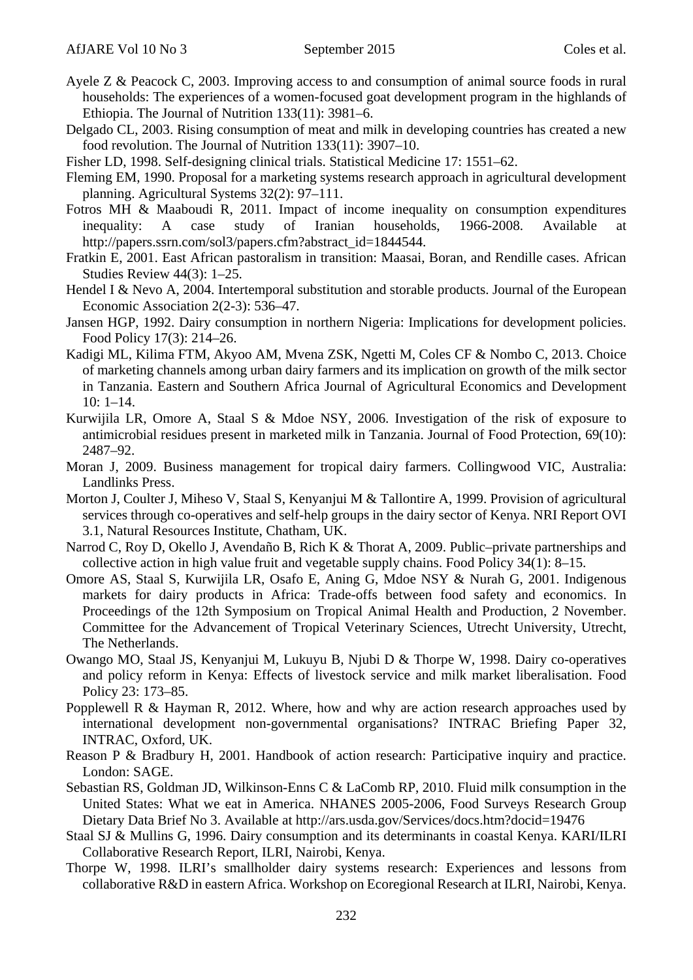- Ayele Z & Peacock C, 2003. Improving access to and consumption of animal source foods in rural households: The experiences of a women-focused goat development program in the highlands of Ethiopia. The Journal of Nutrition 133(11): 3981–6.
- Delgado CL, 2003. Rising consumption of meat and milk in developing countries has created a new food revolution. The Journal of Nutrition 133(11): 3907–10.
- Fisher LD, 1998. Self-designing clinical trials. Statistical Medicine 17: 1551–62.
- Fleming EM, 1990. Proposal for a marketing systems research approach in agricultural development planning. Agricultural Systems 32(2): 97–111.
- Fotros MH & Maaboudi R, 2011. Impact of income inequality on consumption expenditures inequality: A case study of Iranian households, 1966-2008. Available at http://papers.ssrn.com/sol3/papers.cfm?abstract\_id=1844544.
- Fratkin E, 2001. East African pastoralism in transition: Maasai, Boran, and Rendille cases. African Studies Review 44(3): 1–25.
- Hendel I & Nevo A, 2004. Intertemporal substitution and storable products. Journal of the European Economic Association 2(2-3): 536–47.
- Jansen HGP, 1992. Dairy consumption in northern Nigeria: Implications for development policies. Food Policy 17(3): 214–26.
- Kadigi ML, Kilima FTM, Akyoo AM, Mvena ZSK, Ngetti M, Coles CF & Nombo C, 2013. Choice of marketing channels among urban dairy farmers and its implication on growth of the milk sector in Tanzania. Eastern and Southern Africa Journal of Agricultural Economics and Development  $10: 1-14.$
- Kurwijila LR, Omore A, Staal S & Mdoe NSY, 2006. Investigation of the risk of exposure to antimicrobial residues present in marketed milk in Tanzania. Journal of Food Protection, 69(10): 2487–92.
- Moran J, 2009. Business management for tropical dairy farmers. Collingwood VIC, Australia: Landlinks Press.
- Morton J, Coulter J, Miheso V, Staal S, Kenyanjui M & Tallontire A, 1999. Provision of agricultural services through co-operatives and self-help groups in the dairy sector of Kenya. NRI Report OVI 3.1, Natural Resources Institute, Chatham, UK.
- Narrod C, Roy D, Okello J, Avendaño B, Rich K & Thorat A, 2009. Public–private partnerships and collective action in high value fruit and vegetable supply chains. Food Policy 34(1): 8–15.
- Omore AS, Staal S, Kurwijila LR, Osafo E, Aning G, Mdoe NSY & Nurah G, 2001. Indigenous markets for dairy products in Africa: Trade-offs between food safety and economics. In Proceedings of the 12th Symposium on Tropical Animal Health and Production, 2 November. Committee for the Advancement of Tropical Veterinary Sciences, Utrecht University, Utrecht, The Netherlands.
- Owango MO, Staal JS, Kenyanjui M, Lukuyu B, Njubi D & Thorpe W, 1998. Dairy co-operatives and policy reform in Kenya: Effects of livestock service and milk market liberalisation. Food Policy 23: 173–85.
- Popplewell R & Hayman R, 2012. Where, how and why are action research approaches used by international development non-governmental organisations? INTRAC Briefing Paper 32, INTRAC, Oxford, UK.
- Reason P & Bradbury H, 2001. Handbook of action research: Participative inquiry and practice. London: SAGE.
- Sebastian RS, Goldman JD, Wilkinson-Enns C & LaComb RP, 2010. Fluid milk consumption in the United States: What we eat in America. NHANES 2005-2006, Food Surveys Research Group Dietary Data Brief No 3. Available at http://ars.usda.gov/Services/docs.htm?docid=19476
- Staal SJ & Mullins G, 1996. Dairy consumption and its determinants in coastal Kenya. KARI/ILRI Collaborative Research Report, ILRI, Nairobi, Kenya.
- Thorpe W, 1998. ILRI's smallholder dairy systems research: Experiences and lessons from collaborative R&D in eastern Africa. Workshop on Ecoregional Research at ILRI, Nairobi, Kenya.